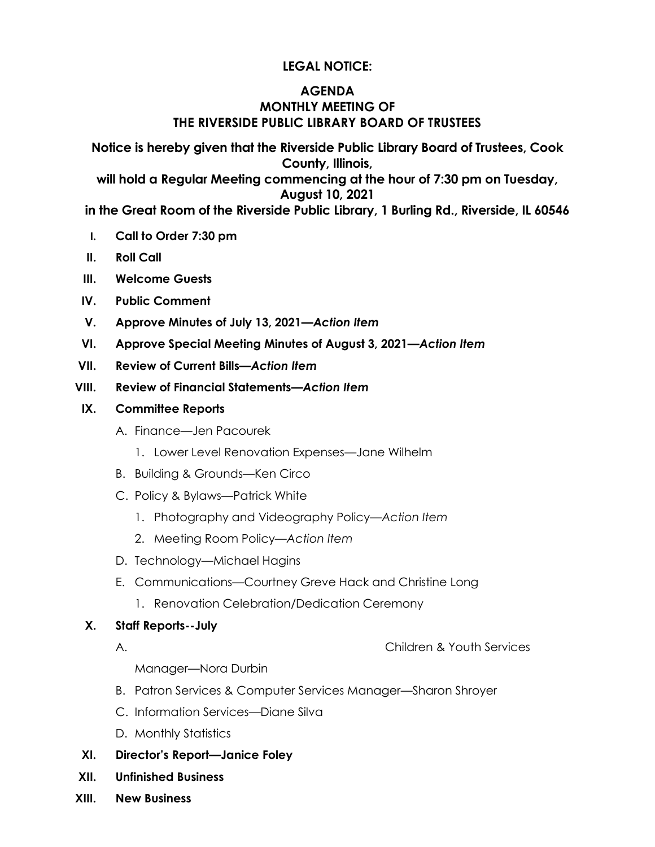# **LEGAL NOTICE:**

# **AGENDA MONTHLY MEETING OF THE RIVERSIDE PUBLIC LIBRARY BOARD OF TRUSTEES**

**Notice is hereby given that the Riverside Public Library Board of Trustees, Cook County, Illinois,** 

**will hold a Regular Meeting commencing at the hour of 7:30 pm on Tuesday, August 10, 2021** 

**in the Great Room of the Riverside Public Library, 1 Burling Rd., Riverside, IL 60546**

- **I. Call to Order 7:30 pm**
- **II. Roll Call**
- **III. Welcome Guests**
- **IV. Public Comment**
- **V. Approve Minutes of July 13, 2021***—Action Item*
- **VI. Approve Special Meeting Minutes of August 3, 2021***—Action Item*
- **VII. Review of Current Bills***—Action Item*
- **VIII. Review of Financial Statements***—Action Item*
- **IX. Committee Reports**
	- A. Finance—Jen Pacourek
		- 1. Lower Level Renovation Expenses—Jane Wilhelm
	- B. Building & Grounds—Ken Circo
	- C. Policy & Bylaws—Patrick White
		- 1. Photography and Videography Policy—*Action Item*
		- 2. Meeting Room Policy*—Action Item*
	- D. Technology—Michael Hagins
	- E. Communications—Courtney Greve Hack and Christine Long
		- 1. Renovation Celebration/Dedication Ceremony

### **X. Staff Reports--July**

A. Children & Youth Services

Manager—Nora Durbin

- B. Patron Services & Computer Services Manager—Sharon Shroyer
- C. Information Services—Diane Silva
- D. Monthly Statistics
- **XI. Director's Report—Janice Foley**
- **XII. Unfinished Business**
- **XIII. New Business**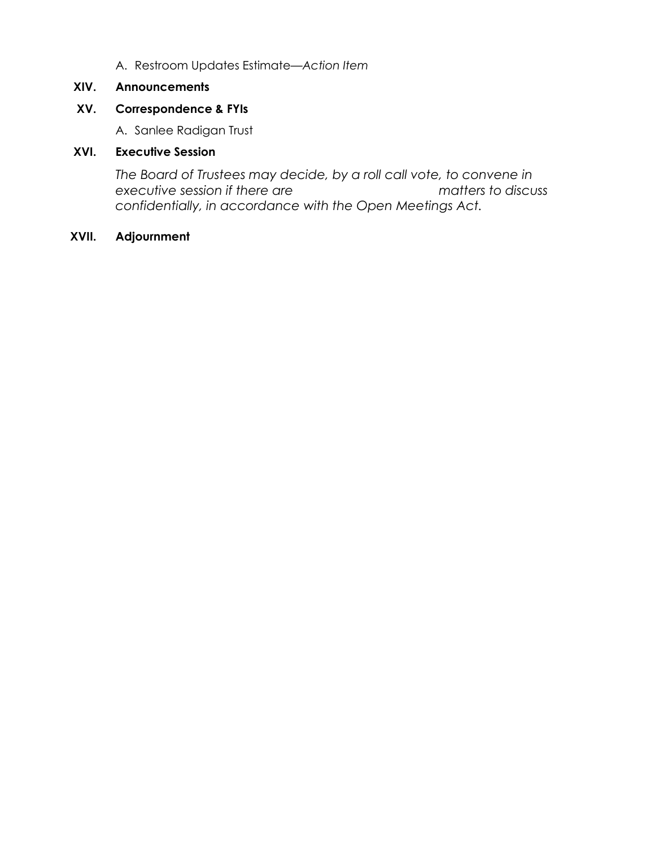A. Restroom Updates Estimate*—Action Item*

## **XIV. Announcements**

# **XV. Correspondence & FYIs**

A. Sanlee Radigan Trust

## **XVI. Executive Session**

*The Board of Trustees may decide, by a roll call vote, to convene in executive session if there are matters to discuss confidentially, in accordance with the Open Meetings Act.*

# **XVII. Adjournment**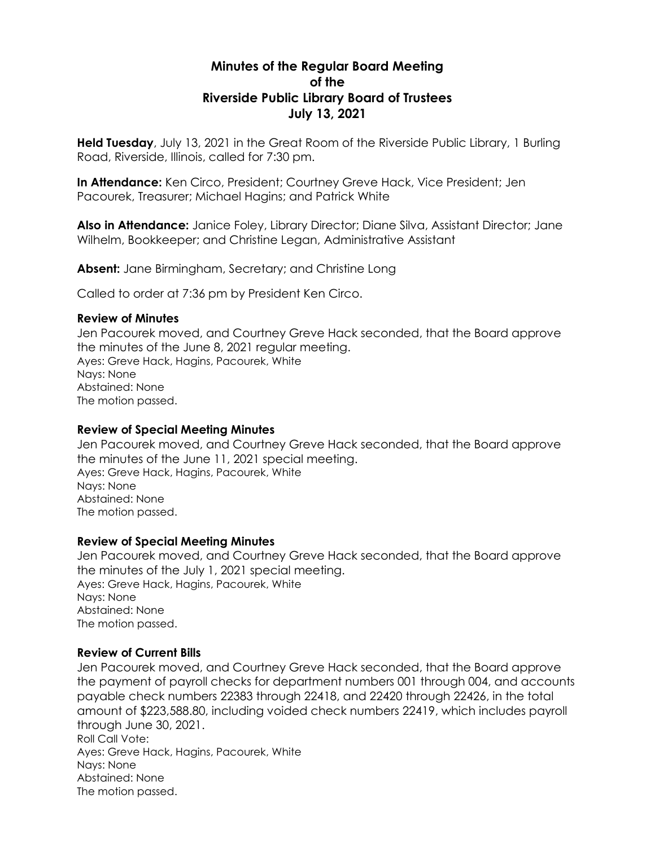# **Minutes of the Regular Board Meeting of the Riverside Public Library Board of Trustees July 13, 2021**

**Held Tuesday**, July 13, 2021 in the Great Room of the Riverside Public Library, 1 Burling Road, Riverside, Illinois, called for 7:30 pm.

**In Attendance:** Ken Circo, President; Courtney Greve Hack, Vice President; Jen Pacourek, Treasurer; Michael Hagins; and Patrick White

**Also in Attendance:** Janice Foley, Library Director; Diane Silva, Assistant Director; Jane Wilhelm, Bookkeeper; and Christine Legan, Administrative Assistant

**Absent:** Jane Birmingham, Secretary; and Christine Long

Called to order at 7:36 pm by President Ken Circo.

#### **Review of Minutes**

Jen Pacourek moved, and Courtney Greve Hack seconded, that the Board approve the minutes of the June 8, 2021 regular meeting. Ayes: Greve Hack, Hagins, Pacourek, White Nays: None Abstained: None The motion passed.

### **Review of Special Meeting Minutes**

Jen Pacourek moved, and Courtney Greve Hack seconded, that the Board approve the minutes of the June 11, 2021 special meeting. Ayes: Greve Hack, Hagins, Pacourek, White Nays: None Abstained: None The motion passed.

### **Review of Special Meeting Minutes**

Jen Pacourek moved, and Courtney Greve Hack seconded, that the Board approve the minutes of the July 1, 2021 special meeting. Ayes: Greve Hack, Hagins, Pacourek, White Nays: None Abstained: None The motion passed.

### **Review of Current Bills**

Jen Pacourek moved, and Courtney Greve Hack seconded, that the Board approve the payment of payroll checks for department numbers 001 through 004, and accounts payable check numbers 22383 through 22418, and 22420 through 22426, in the total amount of \$223,588.80, including voided check numbers 22419, which includes payroll through June 30, 2021. Roll Call Vote: Ayes: Greve Hack, Hagins, Pacourek, White Nays: None Abstained: None The motion passed.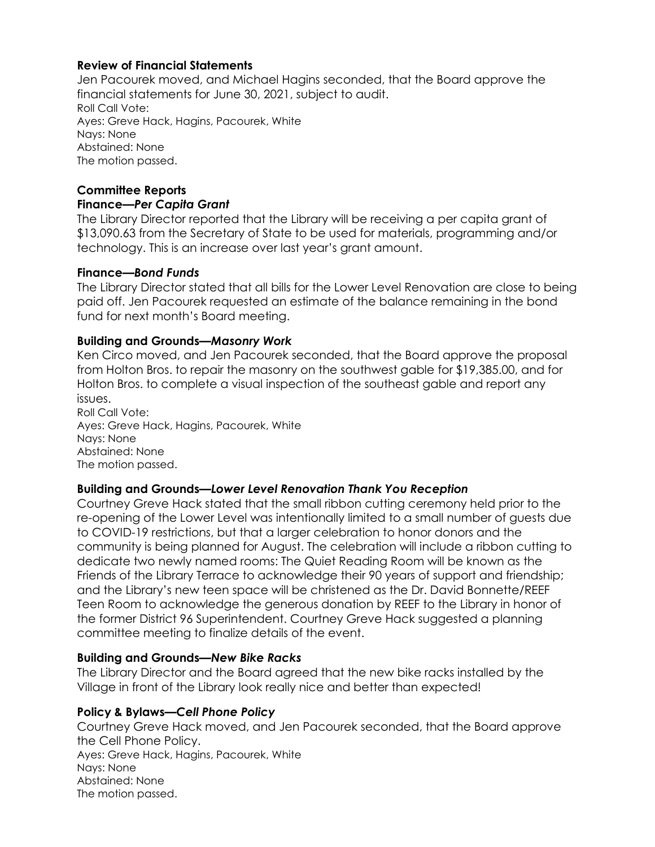## **Review of Financial Statements**

Jen Pacourek moved, and Michael Hagins seconded, that the Board approve the financial statements for June 30, 2021, subject to audit. Roll Call Vote: Ayes: Greve Hack, Hagins, Pacourek, White Nays: None Abstained: None The motion passed.

## **Committee Reports**

### **Finance***—Per Capita Grant*

The Library Director reported that the Library will be receiving a per capita grant of \$13,090.63 from the Secretary of State to be used for materials, programming and/or technology. This is an increase over last year's grant amount.

### **Finance***—Bond Funds*

The Library Director stated that all bills for the Lower Level Renovation are close to being paid off. Jen Pacourek requested an estimate of the balance remaining in the bond fund for next month's Board meeting.

### **Building and Grounds***—Masonry Work*

Ken Circo moved, and Jen Pacourek seconded, that the Board approve the proposal from Holton Bros. to repair the masonry on the southwest gable for \$19,385.00, and for Holton Bros. to complete a visual inspection of the southeast gable and report any issues.

Roll Call Vote: Ayes: Greve Hack, Hagins, Pacourek, White Nays: None Abstained: None The motion passed.

## **Building and Grounds***—Lower Level Renovation Thank You Reception*

Courtney Greve Hack stated that the small ribbon cutting ceremony held prior to the re-opening of the Lower Level was intentionally limited to a small number of guests due to COVID-19 restrictions, but that a larger celebration to honor donors and the community is being planned for August. The celebration will include a ribbon cutting to dedicate two newly named rooms: The Quiet Reading Room will be known as the Friends of the Library Terrace to acknowledge their 90 years of support and friendship; and the Library's new teen space will be christened as the Dr. David Bonnette/REEF Teen Room to acknowledge the generous donation by REEF to the Library in honor of the former District 96 Superintendent. Courtney Greve Hack suggested a planning committee meeting to finalize details of the event.

### **Building and Grounds***—New Bike Racks*

The Library Director and the Board agreed that the new bike racks installed by the Village in front of the Library look really nice and better than expected!

### **Policy & Bylaws***—Cell Phone Policy*

Courtney Greve Hack moved, and Jen Pacourek seconded, that the Board approve the Cell Phone Policy. Ayes: Greve Hack, Hagins, Pacourek, White Nays: None Abstained: None The motion passed.